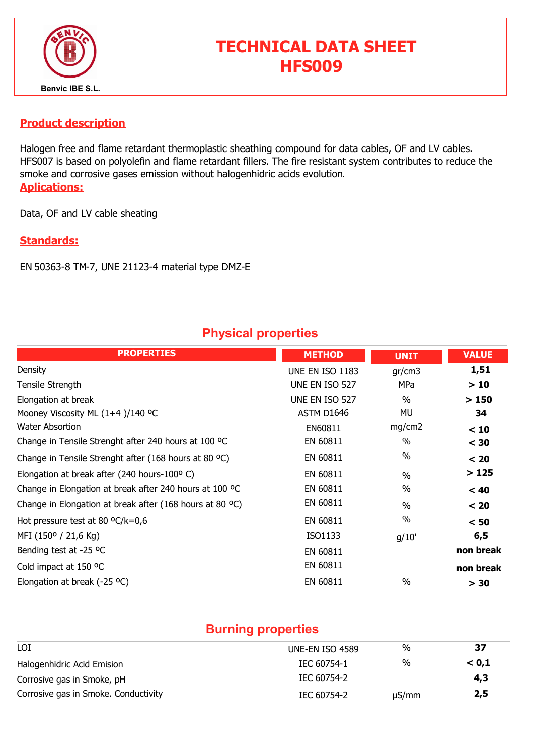

# TECHNICAL DATA SHEET HFS009

#### Product description

Halogen free and flame retardant thermoplastic sheathing compound for data cables, OF and LV cables. HFS007 is based on polyolefin and flame retardant fillers. The fire resistant system contributes to reduce the smoke and corrosive gases emission without halogenhidric acids evolution. Aplications:

Data, OF and LV cable sheating

#### Standards:

EN 50363-8 TM-7, UNE 21123-4 material type DMZ-E

### Physical properties

| <b>PROPERTIES</b>                                        | <b>METHOD</b>          | <b>UNIT</b>   | <b>VALUE</b> |
|----------------------------------------------------------|------------------------|---------------|--------------|
| Density                                                  | <b>UNE EN ISO 1183</b> | gr/cm3        | 1,51         |
| Tensile Strength                                         | UNE EN ISO 527         | MPa           | >10          |
| Elongation at break                                      | UNE EN ISO 527         | $\frac{0}{0}$ | >150         |
| Mooney Viscosity ML (1+4 )/140 °C                        | ASTM D1646             | MU            | 34           |
| <b>Water Absortion</b>                                   | EN60811                | mg/cm2        | < 10         |
| Change in Tensile Strenght after 240 hours at 100 °C     | EN 60811               | $\%$          | $<$ 30       |
| Change in Tensile Strenght after (168 hours at 80 °C)    | EN 60811               | $\%$          | < 20         |
| Elongation at break after (240 hours-100°C)              | EN 60811               | $\frac{0}{0}$ | >125         |
| Change in Elongation at break after 240 hours at 100 °C  | EN 60811               | $\%$          | < 40         |
| Change in Elongation at break after (168 hours at 80 °C) | EN 60811               | $\frac{0}{0}$ | < 20         |
| Hot pressure test at 80 $^{\circ}$ C/k=0,6               | EN 60811               | $\%$          | < 50         |
| MFI (150° / 21,6 Kg)                                     | ISO1133                | g/10'         | 6, 5         |
| Bending test at -25 °C                                   | EN 60811               |               | non break    |
| Cold impact at 150 °C                                    | EN 60811               |               | non break    |
| Elongation at break (-25 $^{\circ}$ C)                   | EN 60811               | $\frac{0}{0}$ | $> 30$       |

### Burning properties

| LOI                                  | UNE-EN ISO 4589 | %          | 37    |
|--------------------------------------|-----------------|------------|-------|
| Halogenhidric Acid Emision           | IEC 60754-1     | %          | < 0.1 |
| Corrosive gas in Smoke, pH           | IEC 60754-2     |            | 4,3   |
| Corrosive gas in Smoke. Conductivity | IEC 60754-2     | $\mu S/mm$ | 2,5   |